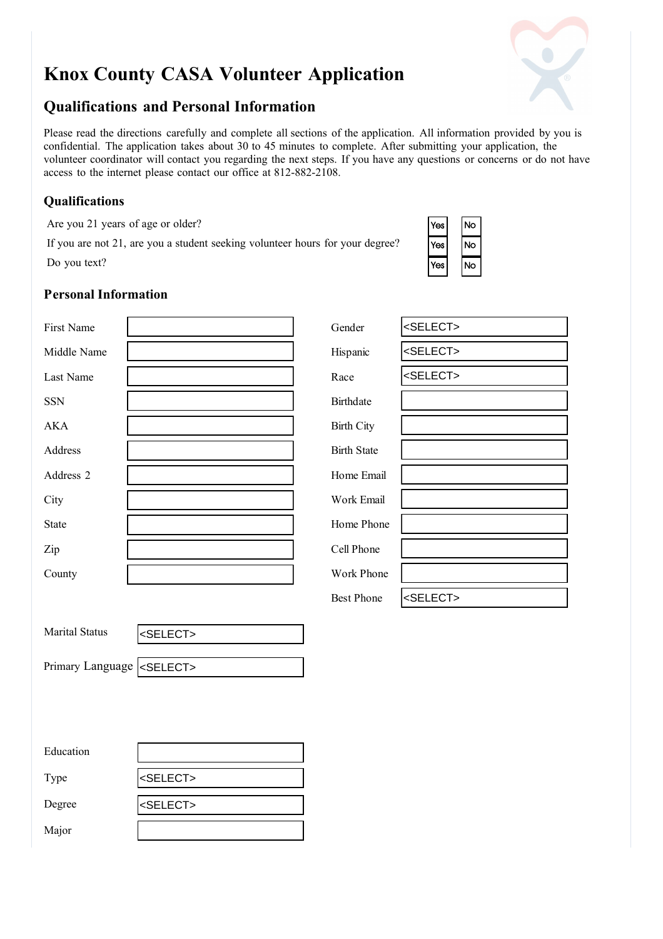# **Knox County CASA Volunteer Application**

## **Qualifications and Personal Information**

Please read the directions carefully and complete all sections of the application. All information provided by you is confidential. The application takes about 30 to 45 minutes to complete. After submitting your application, the volunteer coordinator will contact you regarding the next steps. If you have any questions or concerns or do not have access to the internet please contact our office at 812-882-2108.

#### **Qualifications**

Are you 21 years of age or older?

If you are not 21, are you a student seeking volunteer hours for your degree? Do you text?

| Yes | No |
|-----|----|
| Yes | Ó  |
| Yes | ö  |

### **Personal Information**

| First Name                         |                   | Gender             | <select></select> |
|------------------------------------|-------------------|--------------------|-------------------|
| Middle Name                        |                   | Hispanic           | <select></select> |
| Last Name                          |                   | Race               | <select></select> |
| <b>SSN</b>                         |                   | Birthdate          |                   |
| $\mathbf{AKA}$                     |                   | <b>Birth City</b>  |                   |
| Address                            |                   | <b>Birth State</b> |                   |
| Address 2                          |                   | Home Email         |                   |
| City                               |                   | Work Email         |                   |
| <b>State</b>                       |                   | Home Phone         |                   |
| Zip                                |                   | Cell Phone         |                   |
| County                             |                   | Work Phone         |                   |
|                                    |                   | <b>Best Phone</b>  | <select></select> |
| <b>Marital Status</b>              | <select></select> |                    |                   |
| Primary Language <select></select> |                   |                    |                   |
|                                    |                   |                    |                   |
|                                    |                   |                    |                   |
| Education                          |                   |                    |                   |
| Type                               | <select></select> |                    |                   |
| Degree                             | <select></select> |                    |                   |

| <b>Marital Status</b>              | <select></select> |
|------------------------------------|-------------------|
|                                    |                   |
| Primary Language <select></select> |                   |

| Education |                   |
|-----------|-------------------|
| Type      | <select></select> |
| Degree    | <select></select> |
| Major     |                   |

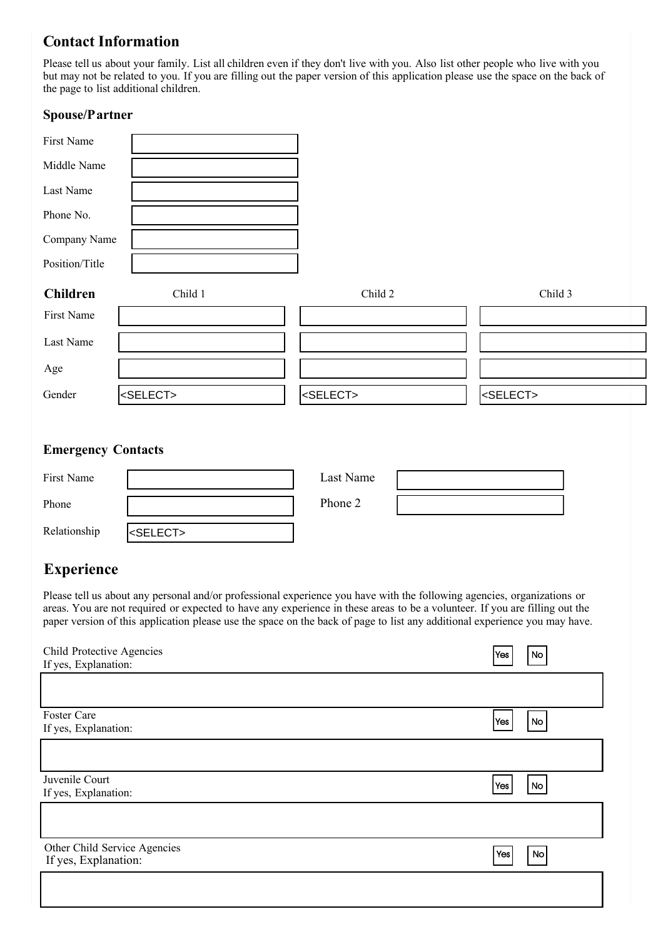### **Contact Information**

Please tell us about your family. List all children even if they don't live with you. Also list other people who live with you but may not be related to you. If you are filling out the paper version of this application please use the space on the back of the page to list additional children.

#### **Spouse/Partner**

| First Name      |                   |                   |                   |
|-----------------|-------------------|-------------------|-------------------|
| Middle Name     |                   |                   |                   |
| Last Name       |                   |                   |                   |
| Phone No.       |                   |                   |                   |
| Company Name    |                   |                   |                   |
| Position/Title  |                   |                   |                   |
| <b>Children</b> | Child 1           | Child 2           | Child 3           |
| First Name      |                   |                   |                   |
| Last Name       |                   |                   |                   |
| Age             |                   |                   |                   |
| Gender          | <select></select> | <select></select> | <select></select> |

#### **Emergency Contacts**

| First Name   |                   | Last Name |  |
|--------------|-------------------|-----------|--|
| Phone        |                   | Phone 2   |  |
| Relationship | <select></select> |           |  |

# **Experience**

Please tell us about any personal and/or professional experience you have with the following agencies, organizations or areas. You are not required or expected to have any experience in these areas to be a volunteer. If you are filling out the paper version of this application please use the space on the back of page to list any additional experience you may have.

| Child Protective Agencies    | Yes           | No |
|------------------------------|---------------|----|
| If yes, Explanation:         |               |    |
|                              |               |    |
| Foster Care                  | $ {\sf Yes} $ | No |
| If yes, Explanation:         |               |    |
|                              |               |    |
| Juvenile Court               | Yes           | No |
| If yes, Explanation:         |               |    |
|                              |               |    |
| Other Child Service Agencies | Yes           | No |
| If yes, Explanation:         |               |    |
|                              |               |    |
|                              |               |    |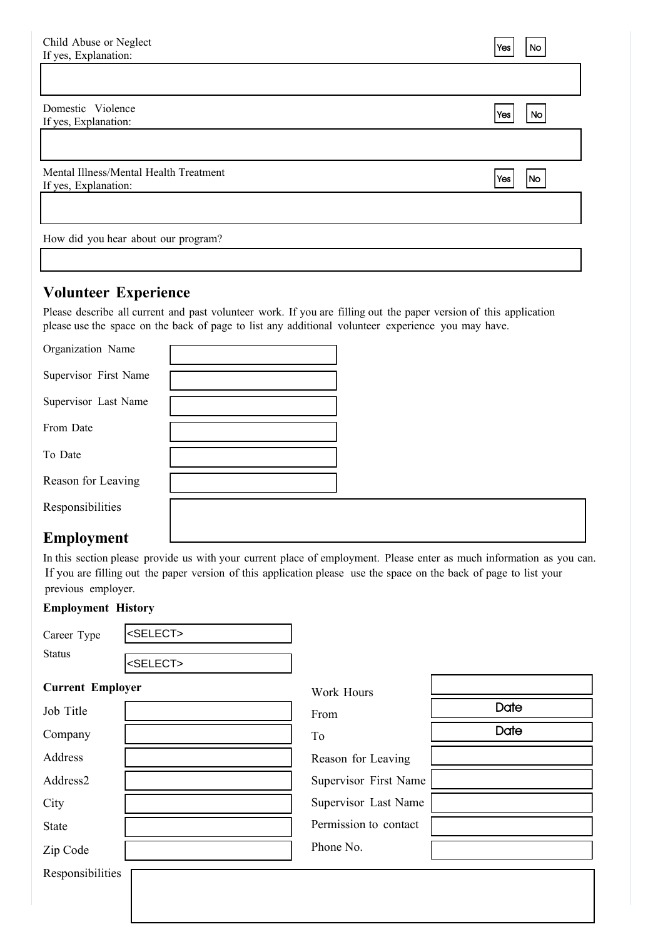| Child Abuse or Neglect<br>If yes, Explanation:                 | Yes        | No        |
|----------------------------------------------------------------|------------|-----------|
|                                                                |            |           |
| Domestic Violence<br>If yes, Explanation:                      | <b>Yes</b> | <b>No</b> |
|                                                                |            |           |
| Mental Illness/Mental Health Treatment<br>If yes, Explanation: | Yes        | No        |
|                                                                |            |           |
| How did you hear about our program?                            |            |           |

## **Volunteer Experience**

Please describe all current and past volunteer work. If you are filling out the paper version of this application please use the space on the back of page to list any additional volunteer experience you may have.

| Organization Name     |  |
|-----------------------|--|
| Supervisor First Name |  |
| Supervisor Last Name  |  |
| From Date             |  |
| To Date               |  |
| Reason for Leaving    |  |
| Responsibilities      |  |
|                       |  |

### **Employment**

In this section please provide us with your current place of employment. Please enter as much information as you can. If you are filling out the paper version of this application please use the space on the back of page to list your previous employer.

#### **Employment History**

| Career Type             | <select></select> |                       |      |
|-------------------------|-------------------|-----------------------|------|
| <b>Status</b>           | <select></select> |                       |      |
| <b>Current Employer</b> |                   | Work Hours            |      |
| Job Title               |                   | From                  | Date |
| Company                 |                   | To                    | Date |
| Address                 |                   | Reason for Leaving    |      |
| Address2                |                   | Supervisor First Name |      |
| City                    |                   | Supervisor Last Name  |      |
| State                   |                   | Permission to contact |      |
| Zip Code                |                   | Phone No.             |      |
| Responsibilities        |                   |                       |      |
|                         |                   |                       |      |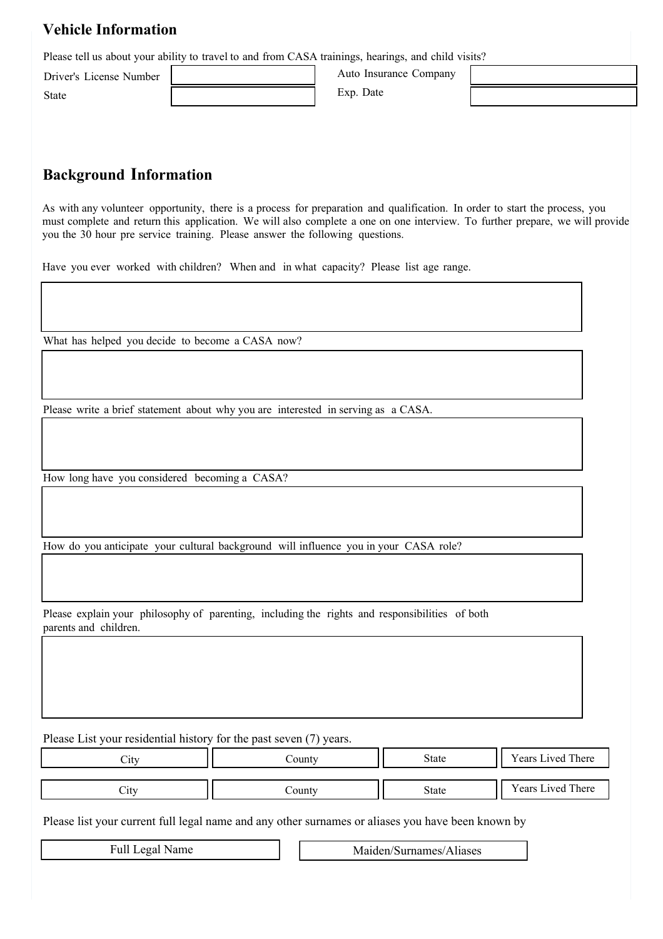### **Vehicle Information**

Please tell us about your ability to travel to and from CASA trainings, hearings, and child visits?

Driver's License Number State

Auto Insurance Company Exp. Date

# **Background Information**

As with any volunteer opportunity, there is a process for preparation and qualification. In order to start the process, you must complete and return this application. We will also complete a one on one interview. To further prepare, we will provide you the 30 hour pre service training. Please answer the following questions.

Have you ever worked with children? When and in what capacity? Please list age range.

What has helped you decide to become a CASA now?

Please write a brief statement about why you are interested in serving as a CASA.

How long have you considered becoming a CASA?

How do you anticipate your cultural background will influence you in your CASA role?

Please explain your philosophy of parenting, including the rights and responsibilities of both parents and children.

Please List your residential history for the past seven (7) years.

| .`1tv                     | .`ounty | <b>State</b> | Years Lived There |
|---------------------------|---------|--------------|-------------------|
| $\mathcal{L}1\mathcal{U}$ | County  | <b>State</b> | Years Lived There |
|                           |         |              |                   |

Please list your current full legal name and any other surnames or aliases you have been known by

Full Legal Name Maiden/Surnames/Aliases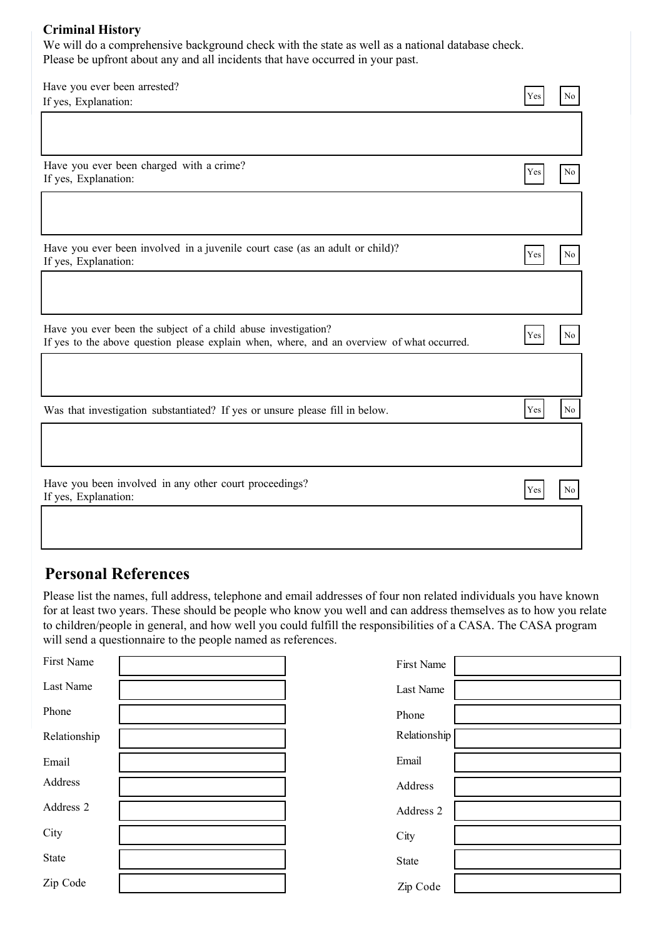#### **Criminal History**

We will do a comprehensive background check with the state as well as a national database check. Please be upfront about any and all incidents that have occurred in your past.

| Have you ever been arrested?                                                                                                                                 |     |          |
|--------------------------------------------------------------------------------------------------------------------------------------------------------------|-----|----------|
| If yes, Explanation:                                                                                                                                         | Yes | No       |
|                                                                                                                                                              |     |          |
| Have you ever been charged with a crime?<br>If yes, Explanation:                                                                                             | Yes | No       |
| Have you ever been involved in a juvenile court case (as an adult or child)?<br>If yes, Explanation:                                                         | Yes | No       |
| Have you ever been the subject of a child abuse investigation?<br>If yes to the above question please explain when, where, and an overview of what occurred. | Yes | No       |
| Was that investigation substantiated? If yes or unsure please fill in below.                                                                                 | Yes | $\rm No$ |
| Have you been involved in any other court proceedings?<br>If yes, Explanation:                                                                               | Yes | No       |

# **Personal References**

Please list the names, full address, telephone and email addresses of four non related individuals you have known for at least two years. These should be people who know you well and can address themselves as to how you relate to children/people in general, and how well you could fulfill the responsibilities of a CASA. The CASA program will send a questionnaire to the people named as references.

| First Name   | First Name   |  |
|--------------|--------------|--|
| Last Name    | Last Name    |  |
| Phone        | Phone        |  |
| Relationship | Relationship |  |
| Email        | Email        |  |
| Address      | Address      |  |
| Address 2    | Address 2    |  |
| City         | City         |  |
| State        | State        |  |
| Zip Code     | Zip Code     |  |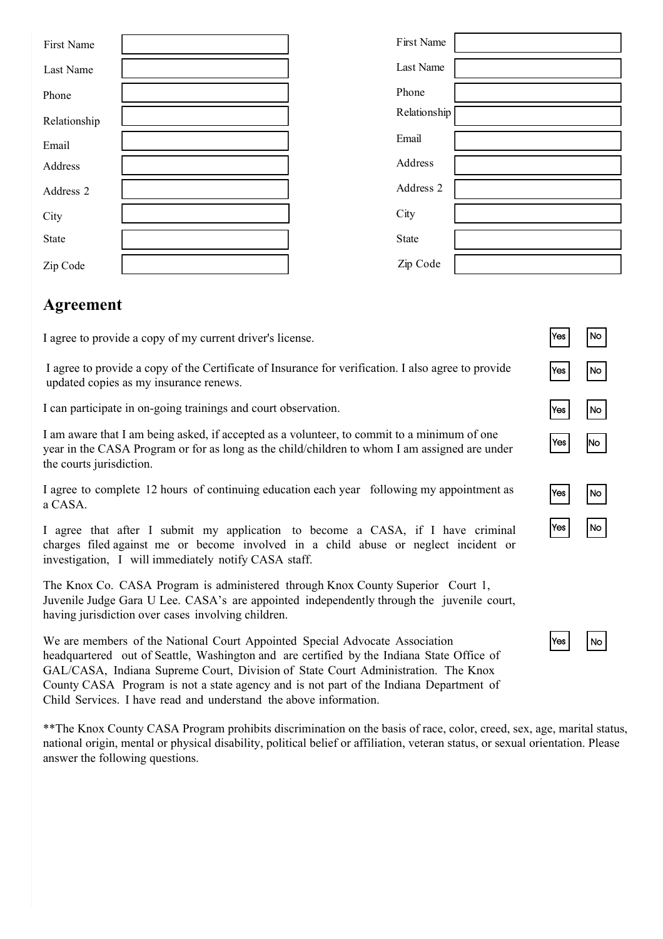| First Name   | First Name   |  |
|--------------|--------------|--|
| Last Name    | Last Name    |  |
| Phone        | Phone        |  |
| Relationship | Relationship |  |
| Email        | Email        |  |
| Address      | Address      |  |
| Address 2    | Address 2    |  |
| City         | City         |  |
| State        | State        |  |
| Zip Code     | Zip Code     |  |

# **Agreement**

I agree to provide a copy of my current driver's license.

I agree to provide a copy of the Certificate of Insurance for verification. I also agree to provide updated copies as my insurance renews.

I can participate in on-going trainings and court observation.

I am aware that I am being asked, if accepted as a volunteer, to commit to a minimum of one year in the CASA Program or for as long as the child/children to whom I am assigned are under the courts jurisdiction.

I agree to complete 12 hours of continuing education each year following my appointment as a CASA.

I agree that after I submit my application to become a CASA, if I have criminal charges filed against me or become involved in a child abuse or neglect incident or investigation, I will immediately notify CASA staff.

The Knox Co. CASA Program is administered through Knox County Superior Court 1, Juvenile Judge Gara U Lee. CASA's are appointed independently through the juvenile court, having jurisdiction over cases involving children.

We are members of the National Court Appointed Special Advocate Association headquartered out of Seattle, Washington and are certified by the Indiana State Office of GAL/CASA, Indiana Supreme Court, Division of State Court Administration. The Knox County CASA Program is not a state agency and is not part of the Indiana Department of Child Services. I have read and understand the above information.

\*\*The Knox County CASA Program prohibits discrimination on the basis of race, color, creed, sex, age, marital status, national origin, mental or physical disability, political belief or affiliation, veteran status, or sexual orientation. Please answer the following questions.

| $\frac{y_{\text{es}}}{\sqrt{y_{\text{es}}}}$ | $\overline{N}$               |
|----------------------------------------------|------------------------------|
| Yes                                          | $\overline{N_{\mathcal{O}}}$ |
| $\sqrt{es}$                                  | N <sub>O</sub>               |
| $\overline{\mathsf{Yes}}$                    | $\overline{N_{\rm O}}$       |
| $\overline{\text{Yes}}$                      | N <sub>o</sub>               |
| $\overline{\mathsf{Yes}}$                    | N <sub>o</sub>               |

| ٠v<br>ïΑs |  | JП |
|-----------|--|----|
|-----------|--|----|